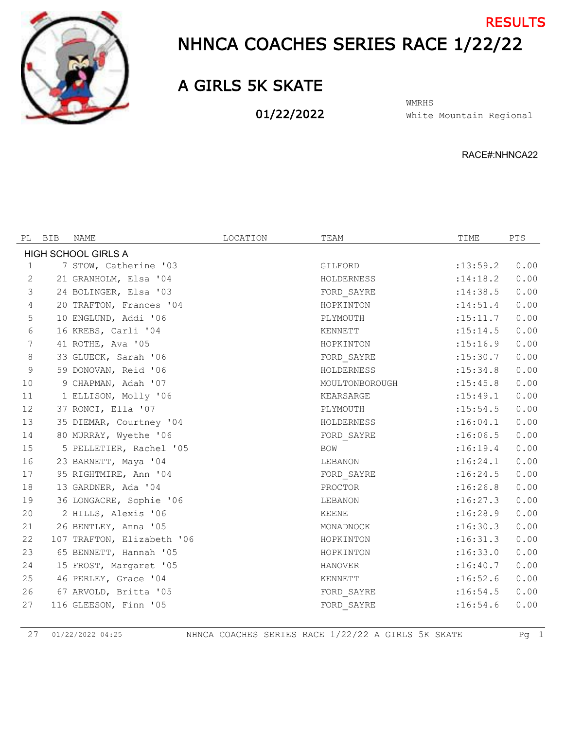

## NHNCA COACHES SERIES RACE 1/22/22 **RESULTS**

## A GIRLS 5K SKATE

01/22/2022

White Mountain Regional WMRHS

RACE#:NHNCA22

| PL           | BIB | NAME                       | LOCATION | TEAM           | TIME       | PTS  |
|--------------|-----|----------------------------|----------|----------------|------------|------|
|              |     | <b>HIGH SCHOOL GIRLS A</b> |          |                |            |      |
| $\mathbf{1}$ |     | 7 STOW, Catherine '03      |          | GILFORD        | : 13: 59.2 | 0.00 |
| 2            |     | 21 GRANHOLM, Elsa '04      |          | HOLDERNESS     | : 14:18.2  | 0.00 |
| 3            |     | 24 BOLINGER, Elsa '03      |          | FORD SAYRE     | : 14:38.5  | 0.00 |
| 4            |     | 20 TRAFTON, Frances '04    |          | HOPKINTON      | : 14:51.4  | 0.00 |
| 5            |     | 10 ENGLUND, Addi '06       |          | PLYMOUTH       | :15:11.7   | 0.00 |
| 6            |     | 16 KREBS, Carli '04        |          | KENNETT        | : 15: 14.5 | 0.00 |
| 7            |     | 41 ROTHE, Ava '05          |          | HOPKINTON      | :15:16.9   | 0.00 |
| $\,8\,$      |     | 33 GLUECK, Sarah '06       |          | FORD SAYRE     | :15:30.7   | 0.00 |
| $\mathsf 9$  |     | 59 DONOVAN, Reid '06       |          | HOLDERNESS     | : 15:34.8  | 0.00 |
| 10           |     | 9 CHAPMAN, Adah '07        |          | MOULTONBOROUGH | : 15: 45.8 | 0.00 |
| 11           |     | 1 ELLISON, Molly '06       |          | KEARSARGE      | : 15: 49.1 | 0.00 |
| 12           |     | 37 RONCI, Ella '07         |          | PLYMOUTH       | : 15:54.5  | 0.00 |
| 13           |     | 35 DIEMAR, Courtney '04    |          | HOLDERNESS     | :16:04.1   | 0.00 |
| 14           |     | 80 MURRAY, Wyethe '06      |          | FORD SAYRE     | :16:06.5   | 0.00 |
| 15           |     | 5 PELLETIER, Rachel '05    |          | <b>BOW</b>     | :16:19.4   | 0.00 |
| 16           |     | 23 BARNETT, Maya '04       |          | LEBANON        | :16:24.1   | 0.00 |
| 17           |     | 95 RIGHTMIRE, Ann '04      |          | FORD SAYRE     | :16:24.5   | 0.00 |
| 18           |     | 13 GARDNER, Ada '04        |          | PROCTOR        | :16:26.8   | 0.00 |
| 19           |     | 36 LONGACRE, Sophie '06    |          | LEBANON        | :16:27.3   | 0.00 |
| 20           |     | 2 HILLS, Alexis '06        |          | KEENE          | :16:28.9   | 0.00 |
| 21           |     | 26 BENTLEY, Anna '05       |          | MONADNOCK      | :16:30.3   | 0.00 |
| 22           |     | 107 TRAFTON, Elizabeth '06 |          | HOPKINTON      | :16:31.3   | 0.00 |
| 23           |     | 65 BENNETT, Hannah '05     |          | HOPKINTON      | :16:33.0   | 0.00 |
| 24           |     | 15 FROST, Margaret '05     |          | <b>HANOVER</b> | :16:40.7   | 0.00 |
| 25           |     | 46 PERLEY, Grace '04       |          | KENNETT        | :16:52.6   | 0.00 |
| 26           |     | 67 ARVOLD, Britta '05      |          | FORD SAYRE     | :16:54.5   | 0.00 |
| 27           |     | 116 GLEESON, Finn '05      |          | FORD SAYRE     | :16:54.6   | 0.00 |

01/22/2022 04:25 NHNCA COACHES SERIES RACE 1/22/22 A GIRLS 5K SKATE Pg 1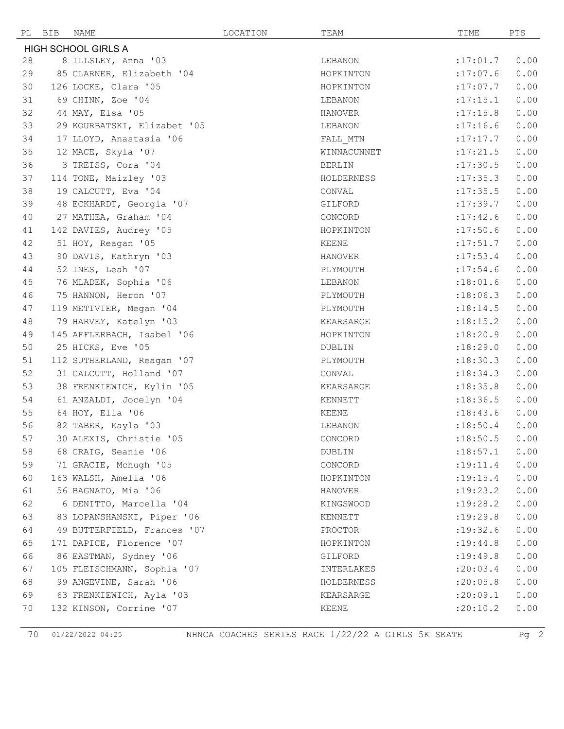| РL | BIB                 | NAME                        | LOCATION | TEAM          | TIME       | PTS  |
|----|---------------------|-----------------------------|----------|---------------|------------|------|
|    | HIGH SCHOOL GIRLS A |                             |          |               |            |      |
| 28 |                     | 8 ILLSLEY, Anna '03         |          | LEBANON       | :17:01.7   | 0.00 |
| 29 |                     | 85 CLARNER, Elizabeth '04   |          | HOPKINTON     | :17:07.6   | 0.00 |
| 30 |                     | 126 LOCKE, Clara '05        |          | HOPKINTON     | :17:07.7   | 0.00 |
| 31 |                     | 69 CHINN, Zoe '04           |          | LEBANON       | :17:15.1   | 0.00 |
| 32 |                     | 44 MAY, Elsa '05            |          | HANOVER       | :17:15.8   | 0.00 |
| 33 |                     | 29 KOURBATSKI, Elizabet '05 |          | LEBANON       | :17:16.6   | 0.00 |
| 34 |                     | 17 LLOYD, Anastasia '06     |          | FALL MTN      | :17:17.7   | 0.00 |
| 35 |                     | 12 MACE, Skyla '07          |          | WINNACUNNET   | :17:21.5   | 0.00 |
| 36 |                     | 3 TREISS, Cora '04          |          | <b>BERLIN</b> | :17:30.5   | 0.00 |
| 37 |                     | 114 TONE, Maizley '03       |          | HOLDERNESS    | :17:35.3   | 0.00 |
| 38 |                     | 19 CALCUTT, Eva '04         |          | CONVAL        | :17:35.5   | 0.00 |
| 39 |                     | 48 ECKHARDT, Georgia '07    |          | GILFORD       | :17:39.7   | 0.00 |
| 40 |                     | 27 MATHEA, Graham '04       |          | CONCORD       | :17:42.6   | 0.00 |
| 41 |                     | 142 DAVIES, Audrey '05      |          | HOPKINTON     | :17:50.6   | 0.00 |
| 42 |                     | 51 HOY, Reagan '05          |          | <b>KEENE</b>  | :17:51.7   | 0.00 |
| 43 |                     | 90 DAVIS, Kathryn '03       |          | HANOVER       | :17:53.4   | 0.00 |
| 44 |                     | 52 INES, Leah '07           |          | PLYMOUTH      | : 17:54.6  | 0.00 |
| 45 |                     | 76 MLADEK, Sophia '06       |          | LEBANON       | :18:01.6   | 0.00 |
| 46 |                     | 75 HANNON, Heron '07        |          | PLYMOUTH      | :18:06.3   | 0.00 |
| 47 |                     | 119 METIVIER, Megan '04     |          | PLYMOUTH      | : 18: 14.5 | 0.00 |
| 48 |                     | 79 HARVEY, Katelyn '03      |          | KEARSARGE     | :18:15.2   | 0.00 |
| 49 |                     | 145 AFFLERBACH, Isabel '06  |          | HOPKINTON     | :18:20.9   | 0.00 |
| 50 |                     | 25 HICKS, Eve '05           |          | DUBLIN        | :18:29.0   | 0.00 |
| 51 |                     | 112 SUTHERLAND, Reagan '07  |          | PLYMOUTH      | :18:30.3   | 0.00 |
| 52 |                     | 31 CALCUTT, Holland '07     |          | CONVAL        | : 18: 34.3 | 0.00 |
| 53 |                     | 38 FRENKIEWICH, Kylin '05   |          | KEARSARGE     | :18:35.8   | 0.00 |
| 54 |                     | 61 ANZALDI, Jocelyn '04     |          | KENNETT       | :18:36.5   | 0.00 |
| 55 |                     | 64 HOY, Ella '06            |          | KEENE         | :18:43.6   | 0.00 |
| 56 |                     | 82 TABER, Kayla '03         |          | LEBANON       | :18:50.4   | 0.00 |
| 57 |                     | 30 ALEXIS, Christie '05     |          | CONCORD       | :18:50.5   | 0.00 |
| 58 |                     | 68 CRAIG, Seanie '06        |          | DUBLIN        | :18:57.1   | 0.00 |
| 59 |                     | 71 GRACIE, Mchugh '05       |          | CONCORD       | : 19: 11.4 | 0.00 |
| 60 |                     | 163 WALSH, Amelia '06       |          | HOPKINTON     | : 19: 15.4 | 0.00 |
| 61 |                     | 56 BAGNATO, Mia '06         |          | HANOVER       | : 19: 23.2 | 0.00 |
| 62 |                     | 6 DENITTO, Marcella '04     |          | KINGSWOOD     | :19:28.2   | 0.00 |
| 63 |                     | 83 LOPANSHANSKI, Piper '06  |          | KENNETT       | :19:29.8   | 0.00 |
| 64 |                     | 49 BUTTERFIELD, Frances '07 |          | PROCTOR       | : 19: 32.6 | 0.00 |
| 65 |                     | 171 DAPICE, Florence '07    |          | HOPKINTON     | : 19: 44.8 | 0.00 |
| 66 |                     | 86 EASTMAN, Sydney '06      |          | GILFORD       | :19:49.8   | 0.00 |
| 67 |                     | 105 FLEISCHMANN, Sophia '07 |          | INTERLAKES    | : 20:03.4  | 0.00 |
| 68 |                     | 99 ANGEVINE, Sarah '06      |          | HOLDERNESS    | : 20:05.8  | 0.00 |
| 69 |                     | 63 FRENKIEWICH, Ayla '03    |          | KEARSARGE     | :20:09.1   | 0.00 |
| 70 |                     | 132 KINSON, Corrine '07     |          | KEENE         | : 20:10.2  | 0.00 |

01/22/2022 04:25 NHNCA COACHES SERIES RACE 1/22/22 A GIRLS 5K SKATE Pg 2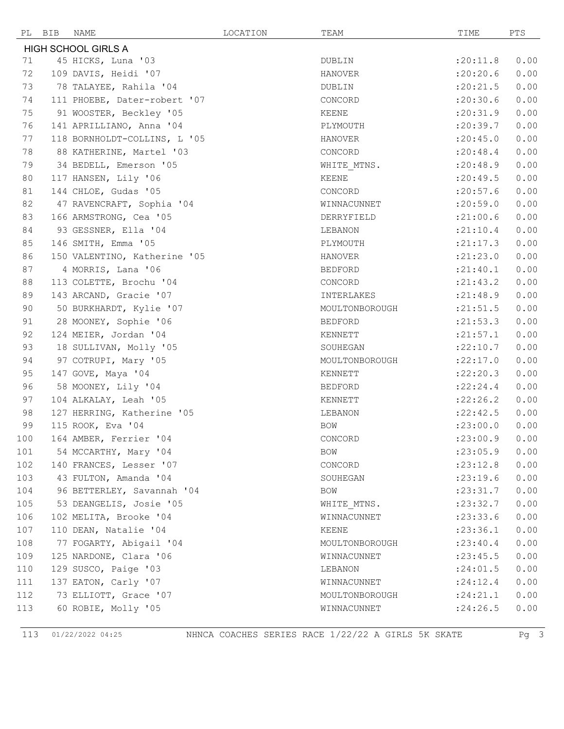|     | PL BIB | NAME                         | LOCATION | TEAM           | TIME           | PTS  |
|-----|--------|------------------------------|----------|----------------|----------------|------|
|     |        | <b>HIGH SCHOOL GIRLS A</b>   |          |                |                |      |
| 71  |        | 45 HICKS, Luna '03           |          | DUBLIN         | :20:11.8       | 0.00 |
| 72  |        | 109 DAVIS, Heidi '07         |          | <b>HANOVER</b> | :20:20.6       | 0.00 |
| 73  |        | 78 TALAYEE, Rahila '04       |          | DUBLIN         | : 20: 21.5     | 0.00 |
| 74  |        | 111 PHOEBE, Dater-robert '07 |          | CONCORD        | : 20:30.6      | 0.00 |
| 75  |        | 91 WOOSTER, Beckley '05      |          | KEENE          | :20:31.9       | 0.00 |
| 76  |        | 141 APRILLIANO, Anna '04     |          | PLYMOUTH       | : 20: 39.7     | 0.00 |
| 77  |        | 118 BORNHOLDT-COLLINS, L '05 |          | <b>HANOVER</b> | : 20: 45.0     | 0.00 |
| 78  |        | 88 KATHERINE, Martel '03     |          | CONCORD        | : 20:48.4      | 0.00 |
| 79  |        | 34 BEDELL, Emerson '05       |          | WHITE MTNS.    | : 20: 48.9     | 0.00 |
| 80  |        | 117 HANSEN, Lily '06         |          | KEENE          | : 20: 49.5     | 0.00 |
| 81  |        | 144 CHLOE, Gudas '05         |          | CONCORD        | : 20:57.6      | 0.00 |
| 82  |        | 47 RAVENCRAFT, Sophia '04    |          | WINNACUNNET    | :20:59.0       | 0.00 |
| 83  |        | 166 ARMSTRONG, Cea '05       |          | DERRYFIELD     | : 21:00.6      | 0.00 |
| 84  |        | 93 GESSNER, Ella '04         |          | LEBANON        | : 21: 10.4     | 0.00 |
| 85  |        | 146 SMITH, Emma '05          |          | PLYMOUTH       | : 21: 17.3     | 0.00 |
| 86  |        | 150 VALENTINO, Katherine '05 |          | HANOVER        | : 21: 23.0     | 0.00 |
| 87  |        | 4 MORRIS, Lana '06           |          | BEDFORD        | : 21: 40.1     | 0.00 |
| 88  |        | 113 COLETTE, Brochu '04      |          | CONCORD        | : 21: 43.2     | 0.00 |
| 89  |        | 143 ARCAND, Gracie '07       |          | INTERLAKES     | : 21: 48.9     | 0.00 |
| 90  |        | 50 BURKHARDT, Kylie '07      |          | MOULTONBOROUGH | : 21: 51.5     | 0.00 |
| 91  |        | 28 MOONEY, Sophie '06        |          | <b>BEDFORD</b> | : 21: 53.3     | 0.00 |
| 92  |        | 124 MEIER, Jordan '04        |          | KENNETT        | : 21: 57.1     | 0.00 |
| 93  |        | 18 SULLIVAN, Molly '05       |          | SOUHEGAN       | :22:10.7       | 0.00 |
| 94  |        | 97 COTRUPI, Mary '05         |          | MOULTONBOROUGH | :22:17.0       | 0.00 |
| 95  |        | 147 GOVE, Maya '04           |          | KENNETT        | :22:20.3       | 0.00 |
| 96  |        | 58 MOONEY, Lily '04          |          | <b>BEDFORD</b> | : 22: 24.4     | 0.00 |
| 97  |        | 104 ALKALAY, Leah '05        |          | KENNETT        | :22:26.2       | 0.00 |
| 98  |        | 127 HERRING, Katherine '05   |          | LEBANON        | :22:42.5       | 0.00 |
| 99  |        | 115 ROOK, Eva '04            |          | BOW            | : 23:00.0      | 0.00 |
| 100 |        | 164 AMBER, Ferrier '04       |          | CONCORD        | : 23:00.9 0.00 |      |
| 101 |        | 54 MCCARTHY, Mary '04        |          | BOW            | : 23:05.9      | 0.00 |
| 102 |        | 140 FRANCES, Lesser '07      |          | CONCORD        | : 23: 12.8     | 0.00 |
| 103 |        | 43 FULTON, Amanda '04        |          | SOUHEGAN       | : 23: 19.6     | 0.00 |
| 104 |        | 96 BETTERLEY, Savannah '04   |          | BOW            | : 23: 31.7     | 0.00 |
| 105 |        | 53 DEANGELIS, Josie '05      |          | WHITE MTNS.    | : 23: 32.7     | 0.00 |
| 106 |        | 102 MELITA, Brooke '04       |          | WINNACUNNET    | : 23: 33.6     | 0.00 |
| 107 |        | 110 DEAN, Natalie '04        |          | KEENE          | : 23:36.1      | 0.00 |
| 108 |        | 77 FOGARTY, Abigail '04      |          | MOULTONBOROUGH | : 23: 40.4     | 0.00 |
| 109 |        | 125 NARDONE, Clara '06       |          | WINNACUNNET    | : 23: 45.5     | 0.00 |
| 110 |        | 129 SUSCO, Paige '03         |          | LEBANON        | : 24:01.5      | 0.00 |
| 111 |        | 137 EATON, Carly '07         |          | WINNACUNNET    | : 24:12.4      | 0.00 |
| 112 |        | 73 ELLIOTT, Grace '07        |          | MOULTONBOROUGH | : 24:21.1      | 0.00 |
| 113 |        | 60 ROBIE, Molly '05          |          | WINNACUNNET    | : 24:26.5      | 0.00 |

01/22/2022 04:25 NHNCA COACHES SERIES RACE 1/22/22 A GIRLS 5K SKATE Pg 3